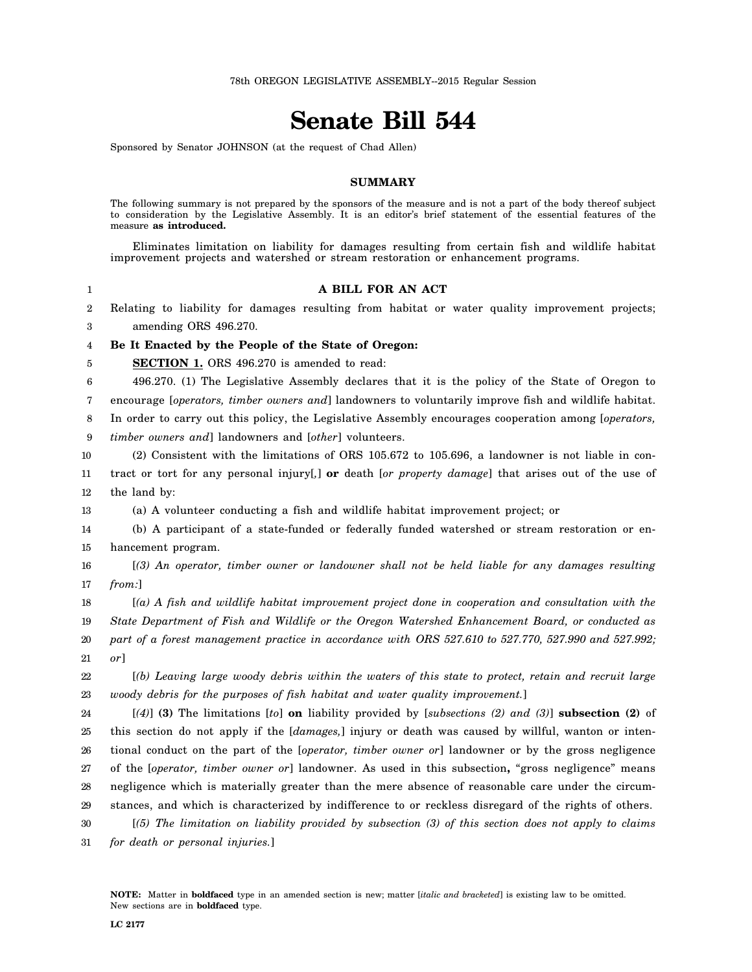## **Senate Bill 544**

Sponsored by Senator JOHNSON (at the request of Chad Allen)

## **SUMMARY**

The following summary is not prepared by the sponsors of the measure and is not a part of the body thereof subject to consideration by the Legislative Assembly. It is an editor's brief statement of the essential features of the measure **as introduced.**

Eliminates limitation on liability for damages resulting from certain fish and wildlife habitat improvement projects and watershed or stream restoration or enhancement programs.

| A BILL FOR AN ACT |  |  |
|-------------------|--|--|
|                   |  |  |

2 3 Relating to liability for damages resulting from habitat or water quality improvement projects; amending ORS 496.270.

4 **Be It Enacted by the People of the State of Oregon:**

5 **SECTION 1.** ORS 496.270 is amended to read:

6 496.270. (1) The Legislative Assembly declares that it is the policy of the State of Oregon to

7 encourage [*operators, timber owners and*] landowners to voluntarily improve fish and wildlife habitat.

8 In order to carry out this policy, the Legislative Assembly encourages cooperation among [*operators,*

9 *timber owners and*] landowners and [*other*] volunteers.

10 11 12 (2) Consistent with the limitations of ORS 105.672 to 105.696, a landowner is not liable in contract or tort for any personal injury[*,*] **or** death [*or property damage*] that arises out of the use of the land by:

13 (a) A volunteer conducting a fish and wildlife habitat improvement project; or

14 15 (b) A participant of a state-funded or federally funded watershed or stream restoration or enhancement program.

16 17 [*(3) An operator, timber owner or landowner shall not be held liable for any damages resulting from:*]

18 19 20 21 [*(a) A fish and wildlife habitat improvement project done in cooperation and consultation with the State Department of Fish and Wildlife or the Oregon Watershed Enhancement Board, or conducted as part of a forest management practice in accordance with ORS 527.610 to 527.770, 527.990 and 527.992; or*]

22 23 [*(b) Leaving large woody debris within the waters of this state to protect, retain and recruit large woody debris for the purposes of fish habitat and water quality improvement.*]

24 25 26 27 28 29 [*(4)*] **(3)** The limitations [*to*] **on** liability provided by [*subsections (2) and (3)*] **subsection (2)** of this section do not apply if the [*damages,*] injury or death was caused by willful, wanton or intentional conduct on the part of the [*operator, timber owner or*] landowner or by the gross negligence of the [*operator, timber owner or*] landowner. As used in this subsection**,** "gross negligence" means negligence which is materially greater than the mere absence of reasonable care under the circumstances, and which is characterized by indifference to or reckless disregard of the rights of others.

30 31 [*(5) The limitation on liability provided by subsection (3) of this section does not apply to claims for death or personal injuries.*]

1